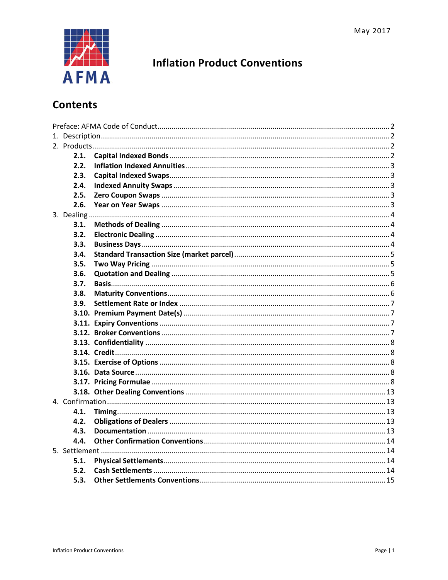

# **Inflation Product Conventions**

# **Contents**

| 2.1. |  |  |  |
|------|--|--|--|
| 2.2. |  |  |  |
| 2.3. |  |  |  |
| 2.4. |  |  |  |
| 2.5. |  |  |  |
| 2.6. |  |  |  |
|      |  |  |  |
| 3.1. |  |  |  |
| 3.2. |  |  |  |
| 3.3. |  |  |  |
| 3.4. |  |  |  |
| 3.5. |  |  |  |
| 3.6. |  |  |  |
| 3.7. |  |  |  |
| 3.8. |  |  |  |
| 3.9. |  |  |  |
|      |  |  |  |
|      |  |  |  |
|      |  |  |  |
|      |  |  |  |
|      |  |  |  |
|      |  |  |  |
|      |  |  |  |
|      |  |  |  |
|      |  |  |  |
|      |  |  |  |
| 4.1. |  |  |  |
| 4.2. |  |  |  |
| 4.3. |  |  |  |
| 4.4. |  |  |  |
|      |  |  |  |
| 5.1. |  |  |  |
| 5.2. |  |  |  |
| 5.3. |  |  |  |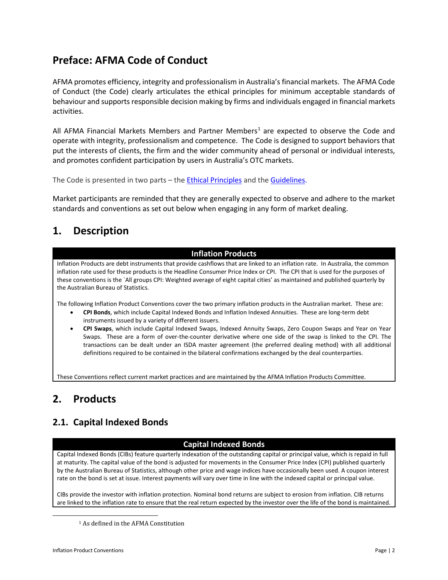# <span id="page-1-0"></span>**Preface: AFMA Code of Conduct**

AFMA promotes efficiency, integrity and professionalism in Australia's financial markets. The AFMA Code of Conduct (the Code) clearly articulates the ethical principles for minimum acceptable standards of behaviour and supports responsible decision making by firms and individuals engaged in financial markets activities.

All AFMA Financial Markets Members and Partner Members<sup>1</sup> are expected to observe the Code and operate with integrity, professionalism and competence. The Code is designed to support behaviors that put the interests of clients, the firm and the wider community ahead of personal or individual interests, and promotes confident participation by users in Australia's OTC markets.

The Code is presented in two parts - the **Ethical Principles** and the **Guidelines**.

Market participants are reminded that they are generally expected to observe and adhere to the market standards and conventions as set out below when engaging in any form of market dealing.

# <span id="page-1-1"></span>**1. Description**

## **Inflation Products**

Inflation Products are debt instruments that provide cashflows that are linked to an inflation rate. In Australia, the common inflation rate used for these products is the Headline Consumer Price Index or CPI. The CPI that is used for the purposes of these conventions is the `All groups CPI: Weighted average of eight capital cities' as maintained and published quarterly by the Australian Bureau of Statistics.

The following Inflation Product Conventions cover the two primary inflation products in the Australian market. These are:

- **CPI Bonds**, which include Capital Indexed Bonds and Inflation Indexed Annuities. These are long-term debt instruments issued by a variety of different issuers.
- **CPI Swaps**, which include Capital Indexed Swaps, Indexed Annuity Swaps, Zero Coupon Swaps and Year on Year Swaps. These are a form of over-the-counter derivative where one side of the swap is linked to the CPI. The transactions can be dealt under an ISDA master agreement (the preferred dealing method) with all additional definitions required to be contained in the bilateral confirmations exchanged by the deal counterparties.

These Conventions reflect current market practices and are maintained by the AFMA Inflation Products Committee.

# <span id="page-1-2"></span>**2. Products**

## <span id="page-1-3"></span>**2.1. Capital Indexed Bonds**

### **Capital Indexed Bonds**

Capital Indexed Bonds (CIBs) feature quarterly indexation of the outstanding capital or principal value, which is repaid in full at maturity. The capital value of the bond is adjusted for movements in the Consumer Price Index (CPI) published quarterly by the Australian Bureau of Statistics, although other price and wage indices have occasionally been used. A coupon interest rate on the bond is set at issue. Interest payments will vary over time in line with the indexed capital or principal value.

CIBs provide the investor with inflation protection. Nominal bond returns are subject to erosion from inflation. CIB returns are linked to the inflation rate to ensure that the real return expected by the investor over the life of the bond is maintained.

<span id="page-1-4"></span> $\overline{\phantom{a}}$ 

<sup>1</sup> As defined in the AFMA Constitution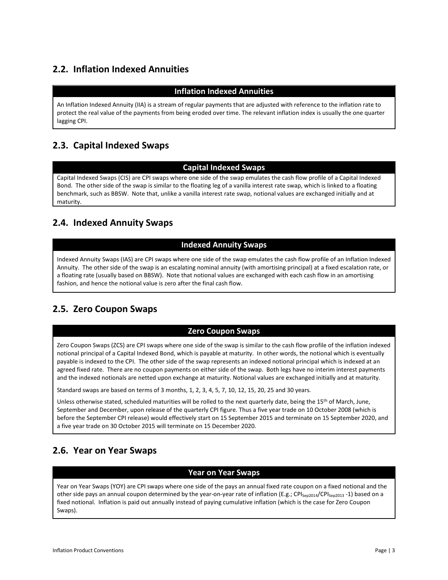# <span id="page-2-0"></span>**2.2. Inflation Indexed Annuities**

## **Inflation Indexed Annuities**

An Inflation Indexed Annuity (IIA) is a stream of regular payments that are adjusted with reference to the inflation rate to protect the real value of the payments from being eroded over time. The relevant inflation index is usually the one quarter lagging CPI.

## <span id="page-2-1"></span>**2.3. Capital Indexed Swaps**

## **Capital Indexed Swaps**

Capital Indexed Swaps (CIS) are CPI swaps where one side of the swap emulates the cash flow profile of a Capital Indexed Bond. The other side of the swap is similar to the floating leg of a vanilla interest rate swap, which is linked to a floating benchmark, such as BBSW. Note that, unlike a vanilla interest rate swap, notional values are exchanged initially and at maturity.

## <span id="page-2-2"></span>**2.4. Indexed Annuity Swaps**

## **Indexed Annuity Swaps**

Indexed Annuity Swaps (IAS) are CPI swaps where one side of the swap emulates the cash flow profile of an Inflation Indexed Annuity. The other side of the swap is an escalating nominal annuity (with amortising principal) at a fixed escalation rate, or a floating rate (usually based on BBSW). Note that notional values are exchanged with each cash flow in an amortising fashion, and hence the notional value is zero after the final cash flow.

## <span id="page-2-3"></span>**2.5. Zero Coupon Swaps**

### **Zero Coupon Swaps**

Zero Coupon Swaps (ZCS) are CPI swaps where one side of the swap is similar to the cash flow profile of the inflation indexed notional principal of a Capital Indexed Bond, which is payable at maturity. In other words, the notional which is eventually payable is indexed to the CPI. The other side of the swap represents an indexed notional principal which is indexed at an agreed fixed rate. There are no coupon payments on either side of the swap. Both legs have no interim interest payments and the indexed notionals are netted upon exchange at maturity. Notional values are exchanged initially and at maturity.

Standard swaps are based on terms of 3 months, 1, 2, 3, 4, 5, 7, 10, 12, 15, 20, 25 and 30 years.

Unless otherwise stated, scheduled maturities will be rolled to the next quarterly date, being the 15<sup>th</sup> of March, June, September and December, upon release of the quarterly CPI figure. Thus a five year trade on 10 October 2008 (which is before the September CPI release) would effectively start on 15 September 2015 and terminate on 15 September 2020, and a five year trade on 30 October 2015 will terminate on 15 December 2020.

## <span id="page-2-4"></span>**2.6. Year on Year Swaps**

### **Year on Year Swaps**

Year on Year Swaps (YOY) are CPI swaps where one side of the pays an annual fixed rate coupon on a fixed notional and the other side pays an annual coupon determined by the year-on-year rate of inflation (E.g.; CPI<sub>Sep2014</sub>/CPI<sub>Sep2013</sub> -1) based on a fixed notional. Inflation is paid out annually instead of paying cumulative inflation (which is the case for Zero Coupon Swaps).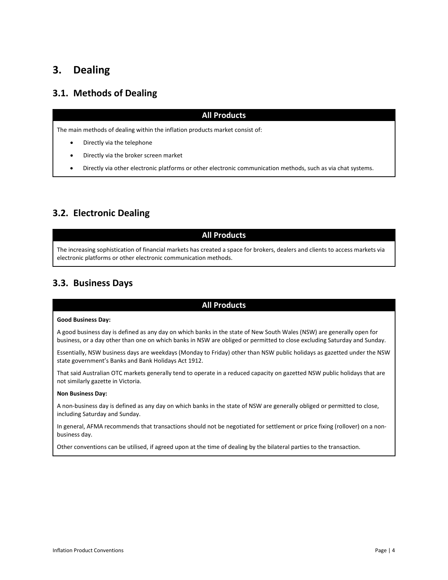# <span id="page-3-0"></span>**3. Dealing**

## <span id="page-3-1"></span>**3.1. Methods of Dealing**

### **All Products**

The main methods of dealing within the inflation products market consist of:

- Directly via the telephone
- Directly via the broker screen market
- Directly via other electronic platforms or other electronic communication methods, such as via chat systems.

## <span id="page-3-2"></span>**3.2. Electronic Dealing**

### **All Products**

The increasing sophistication of financial markets has created a space for brokers, dealers and clients to access markets via electronic platforms or other electronic communication methods.

## <span id="page-3-3"></span>**3.3. Business Days**

### **All Products**

#### **Good Business Day:**

A good business day is defined as any day on which banks in the state of New South Wales (NSW) are generally open for business, or a day other than one on which banks in NSW are obliged or permitted to close excluding Saturday and Sunday.

Essentially, NSW business days are weekdays (Monday to Friday) other than NSW public holidays as gazetted under the NSW state government's Banks and Bank Holidays Act 1912.

That said Australian OTC markets generally tend to operate in a reduced capacity on gazetted NSW public holidays that are not similarly gazette in Victoria.

#### **Non Business Day:**

A non-business day is defined as any day on which banks in the state of NSW are generally obliged or permitted to close, including Saturday and Sunday.

In general, AFMA recommends that transactions should not be negotiated for settlement or price fixing (rollover) on a nonbusiness day.

Other conventions can be utilised, if agreed upon at the time of dealing by the bilateral parties to the transaction.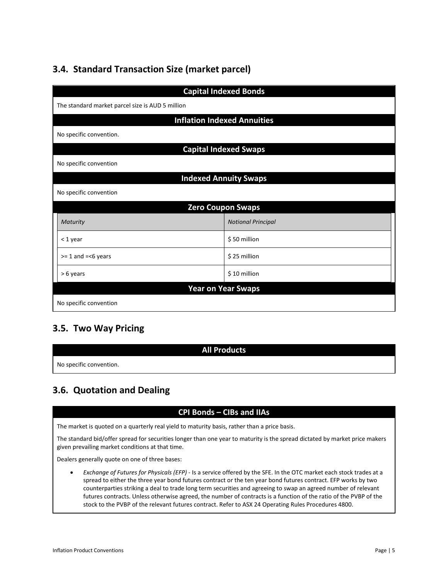# <span id="page-4-0"></span>**3.4. Standard Transaction Size (market parcel)**

| <b>Capital Indexed Bonds</b>                     |                                    |  |  |
|--------------------------------------------------|------------------------------------|--|--|
| The standard market parcel size is AUD 5 million |                                    |  |  |
|                                                  | <b>Inflation Indexed Annuities</b> |  |  |
| No specific convention.                          |                                    |  |  |
|                                                  | <b>Capital Indexed Swaps</b>       |  |  |
| No specific convention                           |                                    |  |  |
|                                                  | <b>Indexed Annuity Swaps</b>       |  |  |
| No specific convention                           |                                    |  |  |
|                                                  | <b>Zero Coupon Swaps</b>           |  |  |
| Maturity                                         | <b>Notional Principal</b>          |  |  |
| $<$ 1 year                                       | \$50 million                       |  |  |
| $>= 1$ and $=< 6$ years                          | \$25 million                       |  |  |
| > 6 years                                        | \$10 million                       |  |  |
| <b>Year on Year Swaps</b>                        |                                    |  |  |
| No specific convention                           |                                    |  |  |

## <span id="page-4-1"></span>**3.5. Two Way Pricing**

|                         | <b>All Products</b> |
|-------------------------|---------------------|
| No specific convention. |                     |

# <span id="page-4-2"></span>**3.6. Quotation and Dealing**

## **CPI Bonds – CIBs and IIAs**

The market is quoted on a quarterly real yield to maturity basis, rather than a price basis.

The standard bid/offer spread for securities longer than one year to maturity is the spread dictated by market price makers given prevailing market conditions at that time.

Dealers generally quote on one of three bases:

• *Exchange of Futures for Physicals (EFP)* - Is a service offered by the SFE. In the OTC market each stock trades at a spread to either the three year bond futures contract or the ten year bond futures contract. EFP works by two counterparties striking a deal to trade long term securities and agreeing to swap an agreed number of relevant futures contracts. Unless otherwise agreed, the number of contracts is a function of the ratio of the PVBP of the stock to the PVBP of the relevant futures contract. Refer to ASX 24 Operating Rules Procedures 4800.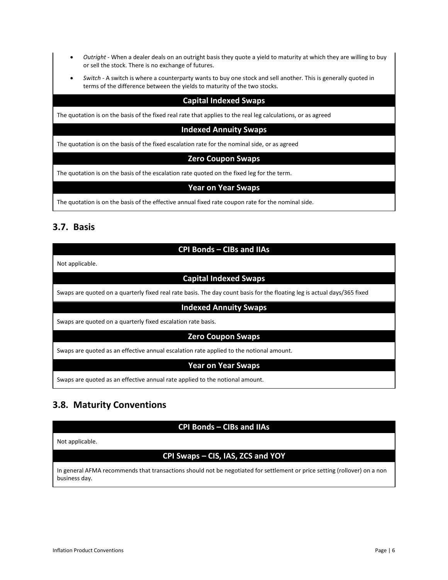- *Outright* When a dealer deals on an outright basis they quote a yield to maturity at which they are willing to buy or sell the stock. There is no exchange of futures.
- *Switch* A switch is where a counterparty wants to buy one stock and sell another. This is generally quoted in terms of the difference between the yields to maturity of the two stocks.

### **Capital Indexed Swaps**

The quotation is on the basis of the fixed real rate that applies to the real leg calculations, or as agreed

#### **Indexed Annuity Swaps**

The quotation is on the basis of the fixed escalation rate for the nominal side, or as agreed

#### **Zero Coupon Swaps**

The quotation is on the basis of the escalation rate quoted on the fixed leg for the term.

#### **Year on Year Swaps**

The quotation is on the basis of the effective annual fixed rate coupon rate for the nominal side.

## <span id="page-5-0"></span>**3.7. Basis**

## **CPI Bonds – CIBs and IIAs**

Not applicable.

## **Capital Indexed Swaps**

Swaps are quoted on a quarterly fixed real rate basis. The day count basis for the floating leg is actual days/365 fixed

#### **Indexed Annuity Swaps**

Swaps are quoted on a quarterly fixed escalation rate basis.

#### **Zero Coupon Swaps**

Swaps are quoted as an effective annual escalation rate applied to the notional amount.

#### **Year on Year Swaps**

Swaps are quoted as an effective annual rate applied to the notional amount.

## <span id="page-5-1"></span>**3.8. Maturity Conventions**

### **CPI Bonds – CIBs and IIAs**

Not applicable.

## **CPI Swaps – CIS, IAS, ZCS and YOY**

In general AFMA recommends that transactions should not be negotiated for settlement or price setting (rollover) on a non business day.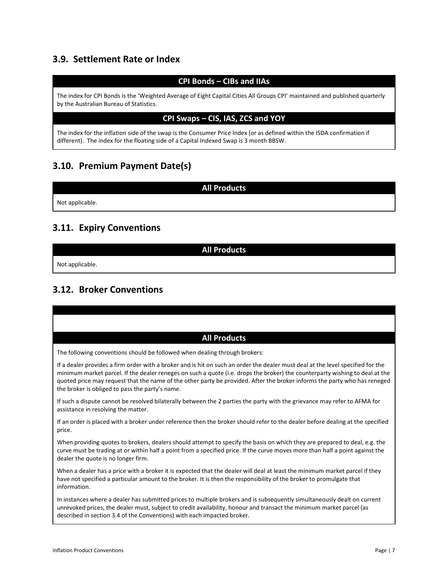## <span id="page-6-0"></span>**3.9. Settlement Rate or Index**

## **CPI Bonds – CIBs and IIAs**

The index for CPI Bonds is the 'Weighted Average of Eight Capital Cities All Groups CPI' maintained and published quarterly by the Australian Bureau of Statistics.

#### **CPI Swaps – CIS, IAS, ZCS and YOY**

The index for the inflation side of the swap is the Consumer Price Index (or as defined within the ISDA confirmation if different). The index for the floating side of a Capital Indexed Swap is 3 month BBSW.

## <span id="page-6-1"></span>**3.10. Premium Payment Date(s)**

Not applicable.

## <span id="page-6-2"></span>**3.11. Expiry Conventions**

**All Products**

**All Products**

Not applicable.

## <span id="page-6-3"></span>**3.12. Broker Conventions**

| <b>All Products</b>                                                                                                                                                                                                                                                                                                                                                                                                                             |
|-------------------------------------------------------------------------------------------------------------------------------------------------------------------------------------------------------------------------------------------------------------------------------------------------------------------------------------------------------------------------------------------------------------------------------------------------|
| The following conventions should be followed when dealing through brokers:                                                                                                                                                                                                                                                                                                                                                                      |
| If a dealer provides a firm order with a broker and is hit on such an order the dealer must deal at the level specified for the<br>minimum market parcel. If the dealer reneges on such a quote (i.e. drops the broker) the counterparty wishing to deal at the<br>quoted price may request that the name of the other party be provided. After the broker informs the party who has reneged<br>the broker is obliged to pass the party's name. |
| If such a dispute cannot be resolved bilaterally between the 2 parties the party with the grievance may refer to AFMA for<br>assistance in resolving the matter.                                                                                                                                                                                                                                                                                |
| If an order is placed with a broker under reference then the broker should refer to the dealer before dealing at the specified<br>price.                                                                                                                                                                                                                                                                                                        |
| When providing quotes to brokers, dealers should attempt to specify the basis on which they are prepared to deal, e.g. the<br>curve must be trading at or within half a point from a specified price. If the curve moves more than half a point against the<br>dealer the quote is no longer firm.                                                                                                                                              |
| When a dealer has a price with a broker it is expected that the dealer will deal at least the minimum market parcel if they<br>have not specified a particular amount to the broker. It is then the responsibility of the broker to promulgate that<br>information.                                                                                                                                                                             |
| In instances where a dealer has submitted prices to multiple brokers and is subsequently simultaneously dealt on current<br>unrevoked prices, the dealer must, subject to credit availability, honour and transact the minimum market parcel (as<br>described in section 3.4 of the Conventions) with each impacted broker.                                                                                                                     |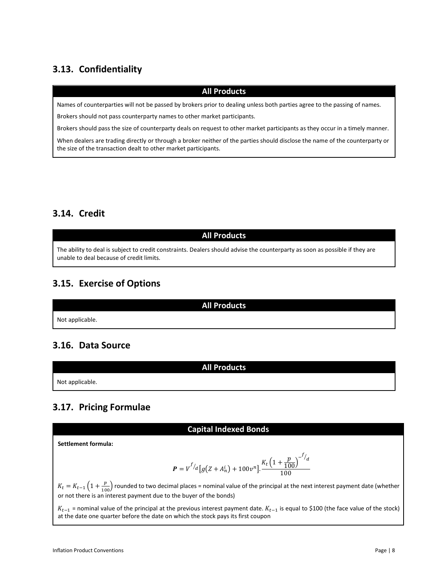# <span id="page-7-0"></span>**3.13. Confidentiality**

### **All Products**

Names of counterparties will not be passed by brokers prior to dealing unless both parties agree to the passing of names.

Brokers should not pass counterparty names to other market participants.

Brokers should pass the size of counterparty deals on request to other market participants as they occur in a timely manner.

When dealers are trading directly or through a broker neither of the parties should disclose the name of the counterparty or the size of the transaction dealt to other market participants.

## <span id="page-7-1"></span>**3.14. Credit**

## **All Products**

The ability to deal is subject to credit constraints. Dealers should advise the counterparty as soon as possible if they are unable to deal because of credit limits.

## <span id="page-7-2"></span>**3.15. Exercise of Options**

**All Products**

**All Products**

Not applicable.

## <span id="page-7-3"></span>**3.16. Data Source**

Not applicable.

## <span id="page-7-4"></span>**3.17. Pricing Formulae**

#### **Capital Indexed Bonds**

**Settlement formula:**

$$
P = V^{f/q} [g(Z + A_n^i) + 100v^n]. \frac{K_t (1 + \frac{p}{100})^{-1/q}}{100}
$$

 $K_t = K_{t-1} \left(1 + \frac{p}{100}\right)$  rounded to two decimal places = nominal value of the principal at the next interest payment date (whether or not there is an interest payment due to the buyer of the bonds)

 $K_{t-1}$  = nominal value of the principal at the previous interest payment date.  $K_{t-1}$  is equal to \$100 (the face value of the stock) at the date one quarter before the date on which the stock pays its first coupon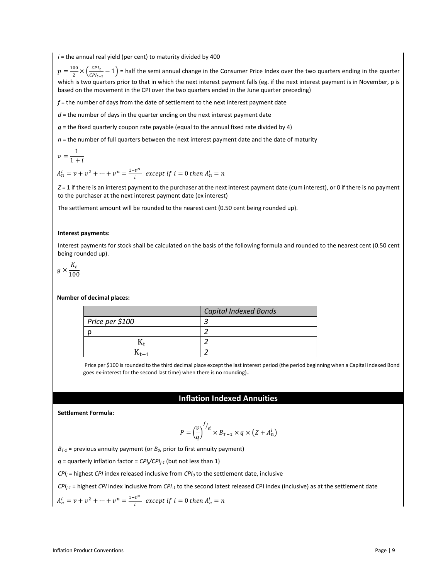$i =$  the annual real yield (per cent) to maturity divided by 400

 $p = \frac{100}{2} \times (\frac{CPL_t}{CPL_{t-2}} - 1)$  = half the semi annual change in the Consumer Price Index over the two quarters ending in the quarter which is two quarters prior to that in which the next interest payment falls (eg. if the next interest payment is in November, p is based on the movement in the CPI over the two quarters ended in the June quarter preceding)

*f* = the number of days from the date of settlement to the next interest payment date

*d* = the number of days in the quarter ending on the next interest payment date

 $g$  = the fixed quarterly coupon rate payable (equal to the annual fixed rate divided by 4)

 $n =$  the number of full quarters between the next interest payment date and the date of maturity

$$
v = \frac{1}{1+i}
$$

 $A_n^i = v + v^2 + \dots + v^n = \frac{1 - v^n}{i}$  except if  $i = 0$  then  $A_n^i =$ 

*Z* = 1 if there is an interest payment to the purchaser at the next interest payment date (cum interest), or 0 if there is no payment to the purchaser at the next interest payment date (ex interest)

The settlement amount will be rounded to the nearest cent (0.50 cent being rounded up).

#### **Interest payments:**

Interest payments for stock shall be calculated on the basis of the following formula and rounded to the nearest cent (0.50 cent being rounded up).

$$
g\times\frac{K_t}{100}
$$

#### **Number of decimal places:**

|                 | <b>Capital Indexed Bonds</b> |
|-----------------|------------------------------|
| Price per \$100 |                              |
|                 |                              |
|                 |                              |
|                 |                              |
|                 |                              |

Price per \$100 is rounded to the third decimal place except the last interest period (the period beginning when a Capital Indexed Bond goes ex-interest for the second last time) when there is no rounding)..

#### **Inflation Indexed Annuities**

#### **Settlement Formula:**

$$
P = \left(\frac{v}{q}\right)^{f/d} \times B_{T-1} \times q \times \left(Z + A_n^i\right)
$$

 $B_{T-1}$  = previous annuity payment (or  $B_0$ , prior to first annuity payment)

 $q$  = quarterly inflation factor =  $CPI_{i}/CPI_{i-1}$  (but not less than 1)

 $CPI_i$  = highest *CPI* index released inclusive from  $CPI_0$  to the settlement date, inclusive

*CPIj-1* = highest *CPI* index inclusive from *CPI-1* to the second latest released CPI index (inclusive) as at the settlement date

$$
A_n^i = v + v^2 + \dots + v^n = \frac{1 - v^n}{i}
$$
 except if  $i = 0$  then  $A_n^i = n$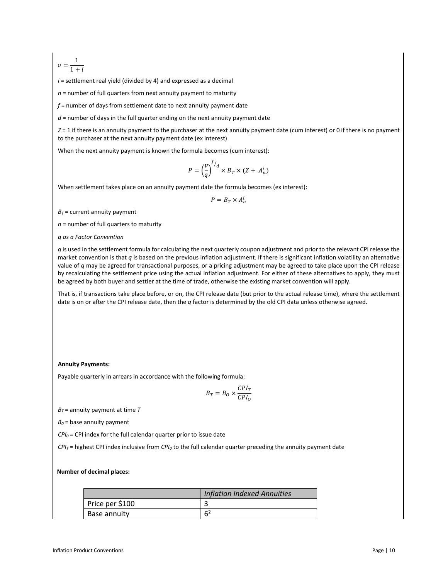$v = \frac{1}{1 + i}$ 

*i* = settlement real yield (divided by 4) and expressed as a decimal

 $n =$  number of full quarters from next annuity payment to maturity

*f* = number of days from settlement date to next annuity payment date

*d* = number of days in the full quarter ending on the next annuity payment date

*Z* = 1 if there is an annuity payment to the purchaser at the next annuity payment date (cum interest) or 0 if there is no payment to the purchaser at the next annuity payment date (ex interest)

When the next annuity payment is known the formula becomes (cum interest):

$$
P = \left(\frac{v}{q}\right)^{f/d} \times B_T \times (Z + A_n^i)
$$

When settlement takes place on an annuity payment date the formula becomes (ex interest):

$$
P = B_T \times A_n^i
$$

 $B_T$  = current annuity payment

*n* = number of full quarters to maturity

*q as a Factor Convention*

*q* is used in the settlement formula for calculating the next quarterly coupon adjustment and prior to the relevant CPI release the market convention is that *q* is based on the previous inflation adjustment. If there is significant inflation volatility an alternative value of *q* may be agreed for transactional purposes, or a pricing adjustment may be agreed to take place upon the CPI release by recalculating the settlement price using the actual inflation adjustment. For either of these alternatives to apply, they must be agreed by both buyer and settler at the time of trade, otherwise the existing market convention will apply.

That is, if transactions take place before, or on, the CPI release date (but prior to the actual release time), where the settlement date is on or after the CPI release date, then the *q* factor is determined by the old CPI data unless otherwise agreed.

#### **Annuity Payments:**

Payable quarterly in arrears in accordance with the following formula:

$$
B_T = B_O \times \frac{CPI_T}{CPI_O}
$$

 $B_T$  = annuity payment at time  $T$ 

 $B_0$  = base annuity payment

 $CPI_0$  = CPI index for the full calendar quarter prior to issue date

*CPIT* = highest CPI index inclusive from *CPI0* to the full calendar quarter preceding the annuity payment date

#### **Number of decimal places:**

|                 | <b>Inflation Indexed Annuities</b> |
|-----------------|------------------------------------|
| Price per \$100 |                                    |
| Base annuity    | 64                                 |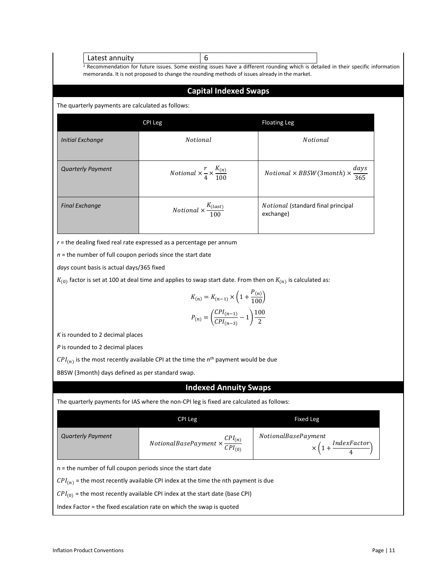#### Latest annuity 16

<sup>2</sup> Recommendation for future issues. Some existing issues have a different rounding which is detailed in their specific information memoranda. It is not proposed to change the rounding methods of issues already in the market.

### **Capital Indexed Swaps**

The quarterly payments are calculated as follows:

|                          | <b>CPI Leg</b>                                                  | <b>Floating Leg</b>                                                              |
|--------------------------|-----------------------------------------------------------------|----------------------------------------------------------------------------------|
| Initial Exchange         | <i>Notional</i>                                                 | <i>Notional</i>                                                                  |
| <b>Quarterly Payment</b> | <i>Notional</i> $\times \frac{r}{4} \times \frac{K_{(n)}}{100}$ | <i>Notional</i> $\times$ <i>BBSW</i> (3 <i>month</i> ) $\times \frac{days}{365}$ |
| <b>Final Exchange</b>    | <i>Notional</i> $\times \frac{K_{(last)}}{100}$                 | <i>Notional</i> (standard final principal<br>exchange)                           |

*r* = the dealing fixed real rate expressed as a percentage per annum

*n* = the number of full coupon periods since the start date

*days* count basis is actual days/365 fixed

 $K_{(0)}$  factor is set at 100 at deal time and applies to swap start date. From then on  $K_{(n)}$  is calculated as:

$$
K_{(n)} = K_{(n-1)} \times \left(1 + \frac{P_{(n)}}{100}\right)
$$

$$
P_{(n)} = \left(\frac{CPI_{(n-1)}}{CPI_{(n-3)}} - 1\right) \frac{100}{2}
$$

*K* is rounded to 2 decimal places

*P* is rounded to 2 decimal places

 $\mathit{CPI}_{(n)}$  is the most recently available CPI at the time the  $n^{th}$  payment would be due

BBSW (3month) days defined as per standard swap.

#### **Indexed Annuity Swaps**

The quarterly payments for IAS where the non-CPI leg is fixed are calculated as follows:

|                                                                                        | CPI Leg                                                         | Fixed Leg                                                         |  |
|----------------------------------------------------------------------------------------|-----------------------------------------------------------------|-------------------------------------------------------------------|--|
| <b>Quarterly Payment</b>                                                               | <i>NotionalBasePayment</i> $\times \frac{CPI_{(n)}}{CPI_{(n)}}$ | <i>NotionalBasePayment</i><br>$\times (1 + \frac{IndexFactor}{})$ |  |
| $n =$ the number of full coupon periods since the start date                           |                                                                 |                                                                   |  |
| $CPI_{(n)}$ = the most recently available CPI index at the time the nth payment is due |                                                                 |                                                                   |  |
| $CPI_{(0)}$ = the most recently available CPI index at the start date (base CPI)       |                                                                 |                                                                   |  |
| Index Factor = the fixed escalation rate on which the swap is quoted                   |                                                                 |                                                                   |  |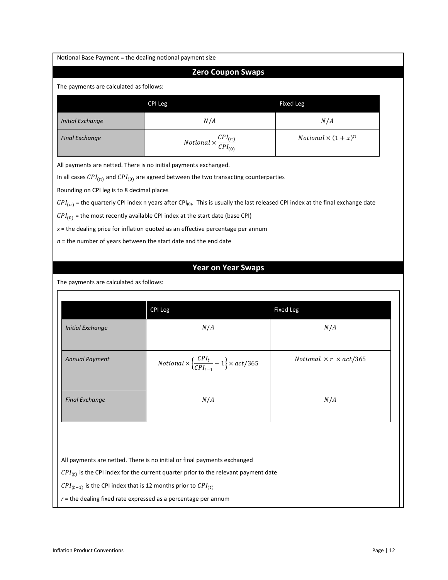| Notional Base Payment = the dealing notional payment size                                 |                                                                                                                                              |                                           |  |
|-------------------------------------------------------------------------------------------|----------------------------------------------------------------------------------------------------------------------------------------------|-------------------------------------------|--|
|                                                                                           | <b>Zero Coupon Swaps</b>                                                                                                                     |                                           |  |
| The payments are calculated as follows:                                                   |                                                                                                                                              |                                           |  |
| <b>Fixed Leg</b><br>CPI Leg                                                               |                                                                                                                                              |                                           |  |
| <b>Initial Exchange</b>                                                                   | N/A                                                                                                                                          | N/A                                       |  |
| <b>Final Exchange</b>                                                                     | <i>Notional</i> $\times \frac{CPI_{(n)}}{CPI_{(0)}}$                                                                                         | <i>Notional</i> $\times (1 + x)^n$        |  |
| All payments are netted. There is no initial payments exchanged.                          |                                                                                                                                              |                                           |  |
|                                                                                           | In all cases $\mathcal{CPI}_{(n)}$ and $\mathcal{CPI}_{(0)}$ are agreed between the two transacting counterparties                           |                                           |  |
| Rounding on CPI leg is to 8 decimal places                                                |                                                                                                                                              |                                           |  |
|                                                                                           | $\mathcal{C}PI_{(n)}$ = the quarterly CPI index n years after CPI(0). This is usually the last released CPI index at the final exchange date |                                           |  |
|                                                                                           | $CPI_{(0)}$ = the most recently available CPI index at the start date (base CPI)                                                             |                                           |  |
|                                                                                           | $x$ = the dealing price for inflation quoted as an effective percentage per annum                                                            |                                           |  |
|                                                                                           | $n =$ the number of years between the start date and the end date                                                                            |                                           |  |
|                                                                                           |                                                                                                                                              |                                           |  |
|                                                                                           |                                                                                                                                              |                                           |  |
|                                                                                           | <b>Year on Year Swaps</b>                                                                                                                    |                                           |  |
| The payments are calculated as follows:                                                   |                                                                                                                                              |                                           |  |
|                                                                                           |                                                                                                                                              |                                           |  |
|                                                                                           | CPI Leg                                                                                                                                      | <b>Fixed Leg</b>                          |  |
| <b>Initial Exchange</b>                                                                   | N/A                                                                                                                                          | N/A                                       |  |
| <b>Annual Payment</b>                                                                     | <i>Notional</i> $\times \left\{\frac{CPI_t}{CPI_{t-1}} - 1\right\} \times act/365$                                                           | <i>Notional</i> $\times r \times act/365$ |  |
| <b>Final Exchange</b>                                                                     | N/A                                                                                                                                          | N/A                                       |  |
|                                                                                           |                                                                                                                                              |                                           |  |
|                                                                                           | All payments are netted. There is no initial or final payments exchanged                                                                     |                                           |  |
|                                                                                           | $\mathit{CPI}_{(t)}$ is the CPI index for the current quarter prior to the relevant payment date                                             |                                           |  |
| $\mathcal{C}PI_{(t-1)}$ is the CPI index that is 12 months prior to $\mathcal{C}PI_{(t)}$ |                                                                                                                                              |                                           |  |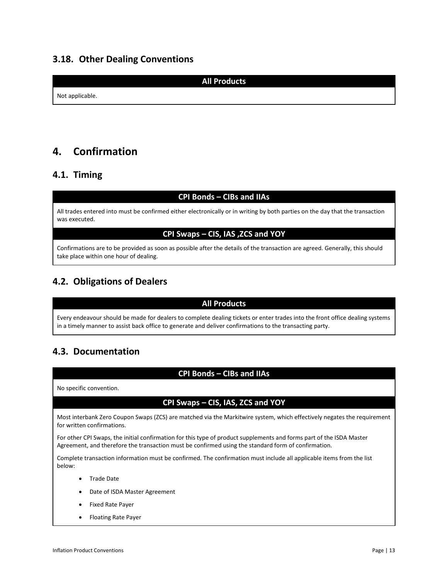## <span id="page-12-0"></span>**3.18. Other Dealing Conventions**

**All Products**

Not applicable.

# <span id="page-12-1"></span>**4. Confirmation**

## <span id="page-12-2"></span>**4.1. Timing**

### **CPI Bonds – CIBs and IIAs**

All trades entered into must be confirmed either electronically or in writing by both parties on the day that the transaction was executed.

## **CPI Swaps – CIS, IAS ,ZCS and YOY**

Confirmations are to be provided as soon as possible after the details of the transaction are agreed. Generally, this should take place within one hour of dealing.

## <span id="page-12-3"></span>**4.2. Obligations of Dealers**

## **All Products**

Every endeavour should be made for dealers to complete dealing tickets or enter trades into the front office dealing systems in a timely manner to assist back office to generate and deliver confirmations to the transacting party.

# <span id="page-12-4"></span>**4.3. Documentation**

### **CPI Bonds – CIBs and IIAs**

No specific convention.

## **CPI Swaps – CIS, IAS, ZCS and YOY**

Most interbank Zero Coupon Swaps (ZCS) are matched via the Markitwire system, which effectively negates the requirement for written confirmations.

For other CPI Swaps, the initial confirmation for this type of product supplements and forms part of the ISDA Master Agreement, and therefore the transaction must be confirmed using the standard form of confirmation.

Complete transaction information must be confirmed. The confirmation must include all applicable items from the list below:

- Trade Date
- Date of ISDA Master Agreement
- Fixed Rate Payer
- Floating Rate Payer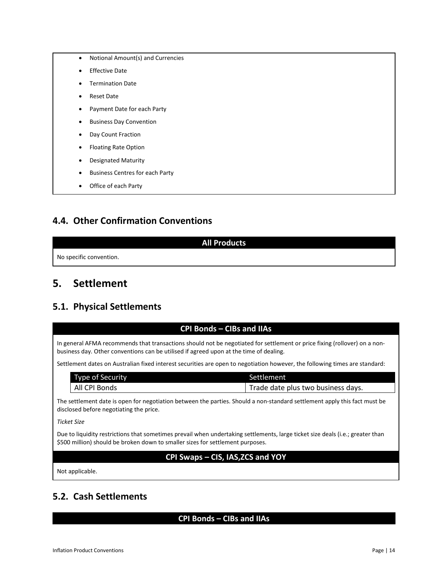- Notional Amount(s) and Currencies
- Effective Date
- Termination Date
- Reset Date
- Payment Date for each Party
- Business Day Convention
- Day Count Fraction
- Floating Rate Option
- Designated Maturity
- Business Centres for each Party
- Office of each Party

## <span id="page-13-0"></span>**4.4. Other Confirmation Conventions**

#### **All Products**

No specific convention.

# <span id="page-13-1"></span>**5. Settlement**

## <span id="page-13-2"></span>**5.1. Physical Settlements**

## **CPI Bonds – CIBs and IIAs**

In general AFMA recommends that transactions should not be negotiated for settlement or price fixing (rollover) on a nonbusiness day. Other conventions can be utilised if agreed upon at the time of dealing.

Settlement dates on Australian fixed interest securities are open to negotiation however, the following times are standard:

| Type of Security | Settlement                         |
|------------------|------------------------------------|
| All CPI Bonds    | Trade date plus two business days. |

The settlement date is open for negotiation between the parties. Should a non-standard settlement apply this fact must be disclosed before negotiating the price.

*Ticket Size*

Due to liquidity restrictions that sometimes prevail when undertaking settlements, large ticket size deals (i.e.; greater than \$500 million) should be broken down to smaller sizes for settlement purposes.

## **CPI Swaps – CIS, IAS,ZCS and YOY**

Not applicable.

## <span id="page-13-3"></span>**5.2. Cash Settlements**

### **CPI Bonds – CIBs and IIAs**